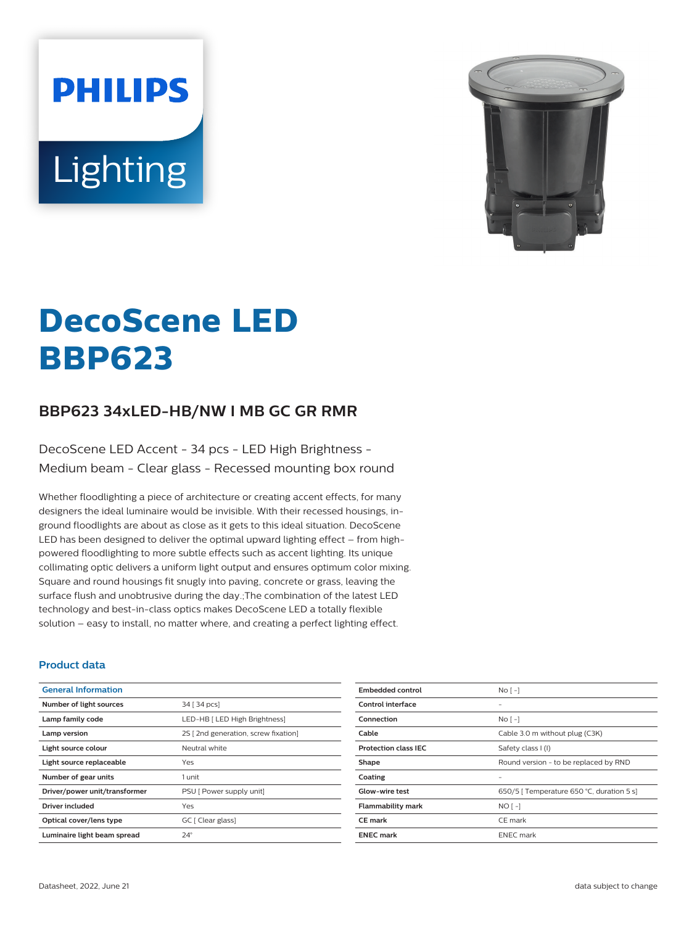# **PHILIPS** Lighting



# **DecoScene LED BBP623**

# **BBP623 34xLED-HB/NW I MB GC GR RMR**

DecoScene LED Accent - 34 pcs - LED High Brightness - Medium beam - Clear glass - Recessed mounting box round

Whether floodlighting a piece of architecture or creating accent effects, for many designers the ideal luminaire would be invisible. With their recessed housings, inground floodlights are about as close as it gets to this ideal situation. DecoScene LED has been designed to deliver the optimal upward lighting effect – from highpowered floodlighting to more subtle effects such as accent lighting. Its unique collimating optic delivers a uniform light output and ensures optimum color mixing. Square and round housings fit snugly into paving, concrete or grass, leaving the surface flush and unobtrusive during the day.;The combination of the latest LED technology and best-in-class optics makes DecoScene LED a totally flexible solution – easy to install, no matter where, and creating a perfect lighting effect.

#### **Product data**

| <b>General Information</b>    |                                     |
|-------------------------------|-------------------------------------|
| Number of light sources       | 34 [ 34 pcs]                        |
| Lamp family code              | LED-HB [ LED High Brightness]       |
| Lamp version                  | 2S [2nd generation, screw fixation] |
| Light source colour           | Neutral white                       |
| Light source replaceable      | Yes                                 |
| Number of gear units          | 1 unit                              |
| Driver/power unit/transformer | PSU [ Power supply unit]            |
| Driver included               | Yes                                 |
| Optical cover/lens type       | GC [ Clear glass]                   |
| Luminaire light beam spread   | $24^\circ$                          |
|                               |                                     |

| <b>Embedded control</b>     | No <sub>1</sub>                           |
|-----------------------------|-------------------------------------------|
| Control interface           |                                           |
| Connection                  | $NQ$ [ -]                                 |
| Cable                       | Cable 3.0 m without plug (C3K)            |
| <b>Protection class IEC</b> | Safety class I (I)                        |
| Shape                       | Round version - to be replaced by RND     |
| Coating                     |                                           |
| Glow-wire test              | 650/5   Temperature 650 °C, duration 5 s] |
| <b>Flammability mark</b>    | $NO[-]$                                   |
| CE mark                     | CE mark                                   |
| <b>ENEC mark</b>            | <b>ENEC</b> mark                          |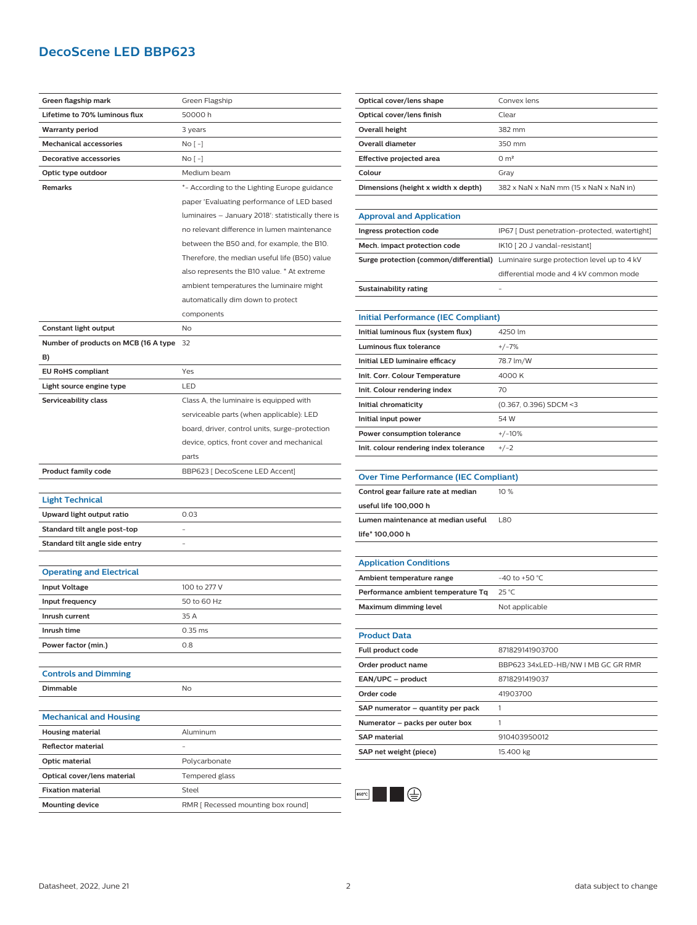## **DecoScene LED BBP623**

| Green flagship mark<br>Green Flagship<br>Lifetime to 70% luminous flux<br>50000 h<br><b>Warranty period</b><br>3 years<br><b>Mechanical accessories</b><br>No [ -]<br><b>Decorative accessories</b><br>No [ -]<br>Optic type outdoor<br>Medium beam<br>Remarks<br>*- According to the Lighting Europe guidance<br>paper 'Evaluating performance of LED based<br>luminaires - January 2018': statistically there is<br>no relevant difference in lumen maintenance<br>between the B50 and, for example, the B10.<br>Therefore, the median useful life (B50) value<br>also represents the B10 value. * At extreme<br>ambient temperatures the luminaire might<br>automatically dim down to protect<br>components<br>Constant light output<br>No<br>Number of products on MCB (16 A type<br>32<br>B)<br><b>EU RoHS compliant</b><br>Yes<br>Light source engine type<br>LED<br>Serviceability class<br>Class A, the luminaire is equipped with<br>serviceable parts (when applicable): LED<br>board, driver, control units, surge-protection<br>device, optics, front cover and mechanical<br>parts<br><b>Product family code</b><br>BBP623 [ DecoScene LED Accent]<br><b>Light Technical</b> |
|-------------------------------------------------------------------------------------------------------------------------------------------------------------------------------------------------------------------------------------------------------------------------------------------------------------------------------------------------------------------------------------------------------------------------------------------------------------------------------------------------------------------------------------------------------------------------------------------------------------------------------------------------------------------------------------------------------------------------------------------------------------------------------------------------------------------------------------------------------------------------------------------------------------------------------------------------------------------------------------------------------------------------------------------------------------------------------------------------------------------------------------------------------------------------------------------|
|                                                                                                                                                                                                                                                                                                                                                                                                                                                                                                                                                                                                                                                                                                                                                                                                                                                                                                                                                                                                                                                                                                                                                                                           |
|                                                                                                                                                                                                                                                                                                                                                                                                                                                                                                                                                                                                                                                                                                                                                                                                                                                                                                                                                                                                                                                                                                                                                                                           |
|                                                                                                                                                                                                                                                                                                                                                                                                                                                                                                                                                                                                                                                                                                                                                                                                                                                                                                                                                                                                                                                                                                                                                                                           |
|                                                                                                                                                                                                                                                                                                                                                                                                                                                                                                                                                                                                                                                                                                                                                                                                                                                                                                                                                                                                                                                                                                                                                                                           |
|                                                                                                                                                                                                                                                                                                                                                                                                                                                                                                                                                                                                                                                                                                                                                                                                                                                                                                                                                                                                                                                                                                                                                                                           |
|                                                                                                                                                                                                                                                                                                                                                                                                                                                                                                                                                                                                                                                                                                                                                                                                                                                                                                                                                                                                                                                                                                                                                                                           |
|                                                                                                                                                                                                                                                                                                                                                                                                                                                                                                                                                                                                                                                                                                                                                                                                                                                                                                                                                                                                                                                                                                                                                                                           |
|                                                                                                                                                                                                                                                                                                                                                                                                                                                                                                                                                                                                                                                                                                                                                                                                                                                                                                                                                                                                                                                                                                                                                                                           |
|                                                                                                                                                                                                                                                                                                                                                                                                                                                                                                                                                                                                                                                                                                                                                                                                                                                                                                                                                                                                                                                                                                                                                                                           |
|                                                                                                                                                                                                                                                                                                                                                                                                                                                                                                                                                                                                                                                                                                                                                                                                                                                                                                                                                                                                                                                                                                                                                                                           |
|                                                                                                                                                                                                                                                                                                                                                                                                                                                                                                                                                                                                                                                                                                                                                                                                                                                                                                                                                                                                                                                                                                                                                                                           |
|                                                                                                                                                                                                                                                                                                                                                                                                                                                                                                                                                                                                                                                                                                                                                                                                                                                                                                                                                                                                                                                                                                                                                                                           |
|                                                                                                                                                                                                                                                                                                                                                                                                                                                                                                                                                                                                                                                                                                                                                                                                                                                                                                                                                                                                                                                                                                                                                                                           |
|                                                                                                                                                                                                                                                                                                                                                                                                                                                                                                                                                                                                                                                                                                                                                                                                                                                                                                                                                                                                                                                                                                                                                                                           |
|                                                                                                                                                                                                                                                                                                                                                                                                                                                                                                                                                                                                                                                                                                                                                                                                                                                                                                                                                                                                                                                                                                                                                                                           |
|                                                                                                                                                                                                                                                                                                                                                                                                                                                                                                                                                                                                                                                                                                                                                                                                                                                                                                                                                                                                                                                                                                                                                                                           |
|                                                                                                                                                                                                                                                                                                                                                                                                                                                                                                                                                                                                                                                                                                                                                                                                                                                                                                                                                                                                                                                                                                                                                                                           |
|                                                                                                                                                                                                                                                                                                                                                                                                                                                                                                                                                                                                                                                                                                                                                                                                                                                                                                                                                                                                                                                                                                                                                                                           |
|                                                                                                                                                                                                                                                                                                                                                                                                                                                                                                                                                                                                                                                                                                                                                                                                                                                                                                                                                                                                                                                                                                                                                                                           |
|                                                                                                                                                                                                                                                                                                                                                                                                                                                                                                                                                                                                                                                                                                                                                                                                                                                                                                                                                                                                                                                                                                                                                                                           |
|                                                                                                                                                                                                                                                                                                                                                                                                                                                                                                                                                                                                                                                                                                                                                                                                                                                                                                                                                                                                                                                                                                                                                                                           |
|                                                                                                                                                                                                                                                                                                                                                                                                                                                                                                                                                                                                                                                                                                                                                                                                                                                                                                                                                                                                                                                                                                                                                                                           |
|                                                                                                                                                                                                                                                                                                                                                                                                                                                                                                                                                                                                                                                                                                                                                                                                                                                                                                                                                                                                                                                                                                                                                                                           |
|                                                                                                                                                                                                                                                                                                                                                                                                                                                                                                                                                                                                                                                                                                                                                                                                                                                                                                                                                                                                                                                                                                                                                                                           |
|                                                                                                                                                                                                                                                                                                                                                                                                                                                                                                                                                                                                                                                                                                                                                                                                                                                                                                                                                                                                                                                                                                                                                                                           |
|                                                                                                                                                                                                                                                                                                                                                                                                                                                                                                                                                                                                                                                                                                                                                                                                                                                                                                                                                                                                                                                                                                                                                                                           |
|                                                                                                                                                                                                                                                                                                                                                                                                                                                                                                                                                                                                                                                                                                                                                                                                                                                                                                                                                                                                                                                                                                                                                                                           |
|                                                                                                                                                                                                                                                                                                                                                                                                                                                                                                                                                                                                                                                                                                                                                                                                                                                                                                                                                                                                                                                                                                                                                                                           |
| Upward light output ratio<br>0.03                                                                                                                                                                                                                                                                                                                                                                                                                                                                                                                                                                                                                                                                                                                                                                                                                                                                                                                                                                                                                                                                                                                                                         |
| Standard tilt angle post-top                                                                                                                                                                                                                                                                                                                                                                                                                                                                                                                                                                                                                                                                                                                                                                                                                                                                                                                                                                                                                                                                                                                                                              |
| Standard tilt angle side entry                                                                                                                                                                                                                                                                                                                                                                                                                                                                                                                                                                                                                                                                                                                                                                                                                                                                                                                                                                                                                                                                                                                                                            |
|                                                                                                                                                                                                                                                                                                                                                                                                                                                                                                                                                                                                                                                                                                                                                                                                                                                                                                                                                                                                                                                                                                                                                                                           |
| <b>Operating and Electrical</b>                                                                                                                                                                                                                                                                                                                                                                                                                                                                                                                                                                                                                                                                                                                                                                                                                                                                                                                                                                                                                                                                                                                                                           |
| 100 to 277 V<br><b>Input Voltage</b>                                                                                                                                                                                                                                                                                                                                                                                                                                                                                                                                                                                                                                                                                                                                                                                                                                                                                                                                                                                                                                                                                                                                                      |
| Input frequency<br>50 to 60 Hz                                                                                                                                                                                                                                                                                                                                                                                                                                                                                                                                                                                                                                                                                                                                                                                                                                                                                                                                                                                                                                                                                                                                                            |
| 35 A<br>Inrush current                                                                                                                                                                                                                                                                                                                                                                                                                                                                                                                                                                                                                                                                                                                                                                                                                                                                                                                                                                                                                                                                                                                                                                    |
| Inrush time<br>$0.35$ ms                                                                                                                                                                                                                                                                                                                                                                                                                                                                                                                                                                                                                                                                                                                                                                                                                                                                                                                                                                                                                                                                                                                                                                  |
| Power factor (min.)<br>0.8                                                                                                                                                                                                                                                                                                                                                                                                                                                                                                                                                                                                                                                                                                                                                                                                                                                                                                                                                                                                                                                                                                                                                                |
|                                                                                                                                                                                                                                                                                                                                                                                                                                                                                                                                                                                                                                                                                                                                                                                                                                                                                                                                                                                                                                                                                                                                                                                           |
| <b>Controls and Dimming</b>                                                                                                                                                                                                                                                                                                                                                                                                                                                                                                                                                                                                                                                                                                                                                                                                                                                                                                                                                                                                                                                                                                                                                               |
| Dimmable<br>No                                                                                                                                                                                                                                                                                                                                                                                                                                                                                                                                                                                                                                                                                                                                                                                                                                                                                                                                                                                                                                                                                                                                                                            |
|                                                                                                                                                                                                                                                                                                                                                                                                                                                                                                                                                                                                                                                                                                                                                                                                                                                                                                                                                                                                                                                                                                                                                                                           |
| <b>Mechanical and Housing</b>                                                                                                                                                                                                                                                                                                                                                                                                                                                                                                                                                                                                                                                                                                                                                                                                                                                                                                                                                                                                                                                                                                                                                             |
| <b>Housing material</b><br>Aluminum                                                                                                                                                                                                                                                                                                                                                                                                                                                                                                                                                                                                                                                                                                                                                                                                                                                                                                                                                                                                                                                                                                                                                       |
| <b>Reflector material</b><br>-                                                                                                                                                                                                                                                                                                                                                                                                                                                                                                                                                                                                                                                                                                                                                                                                                                                                                                                                                                                                                                                                                                                                                            |
| Polycarbonate<br>Optic material                                                                                                                                                                                                                                                                                                                                                                                                                                                                                                                                                                                                                                                                                                                                                                                                                                                                                                                                                                                                                                                                                                                                                           |
| Optical cover/lens material<br>Tempered glass                                                                                                                                                                                                                                                                                                                                                                                                                                                                                                                                                                                                                                                                                                                                                                                                                                                                                                                                                                                                                                                                                                                                             |
| <b>Fixation material</b><br>Steel                                                                                                                                                                                                                                                                                                                                                                                                                                                                                                                                                                                                                                                                                                                                                                                                                                                                                                                                                                                                                                                                                                                                                         |
| <b>Mounting device</b><br>RMR [ Recessed mounting box round]                                                                                                                                                                                                                                                                                                                                                                                                                                                                                                                                                                                                                                                                                                                                                                                                                                                                                                                                                                                                                                                                                                                              |

| Optical cover/lens shape            | Convex lens                            |
|-------------------------------------|----------------------------------------|
| Optical cover/lens finish           | Clear                                  |
| Overall height                      | 382 mm                                 |
| Overall diameter                    | 350 mm                                 |
| Effective projected area            | 0 m <sup>2</sup>                       |
| Colour                              | Gray                                   |
| Dimensions (height x width x depth) | 382 x NaN x NaN mm (15 x NaN x NaN in) |

| <b>Approval and Application</b> |                                                                                    |
|---------------------------------|------------------------------------------------------------------------------------|
| Ingress protection code         | IP67 [ Dust penetration-protected, watertight]                                     |
| Mech. impact protection code    | IK10 [20 J vandal-resistant]                                                       |
|                                 | Surge protection (common/differential) Luminaire surge protection level up to 4 kV |
|                                 | differential mode and 4 kV common mode                                             |
| Sustainability rating           | -                                                                                  |

| <b>Initial Performance (IEC Compliant)</b> |                          |
|--------------------------------------------|--------------------------|
| Initial luminous flux (system flux)        | 4250 lm                  |
| Luminous flux tolerance                    | $+/-7%$                  |
| Initial LED luminaire efficacy             | 78.7 lm/W                |
| Init. Corr. Colour Temperature             | 4000 K                   |
| Init. Colour rendering index               | 70                       |
| Initial chromaticity                       | $(0.367, 0.396)$ SDCM <3 |
| Initial input power                        | 54 W                     |
| Power consumption tolerance                | $+/-10%$                 |
| Init. colour rendering index tolerance     | $+/-2$                   |

| <b>Over Time Performance (IEC Compliant)</b> |                   |  |
|----------------------------------------------|-------------------|--|
| Control gear failure rate at median          | 10%               |  |
| useful life 100,000 h                        |                   |  |
| Lumen maintenance at median useful           | <b>L80</b>        |  |
| life* 100,000 h                              |                   |  |
|                                              |                   |  |
| <b>Application Conditions</b>                |                   |  |
| Ambient temperature range                    | $-40$ to $+50$ °C |  |

| <b>Application Conditions</b>      |                   |
|------------------------------------|-------------------|
| Ambient temperature range          | $-40$ to $+50$ °C |
| Performance ambient temperature Tq | 25 °C             |
| Maximum dimming level              | Not applicable    |
|                                    |                   |

| <b>Product Data</b>               |                                    |
|-----------------------------------|------------------------------------|
| <b>Full product code</b>          | 871829141903700                    |
| Order product name                | BBP623 34xLED-HB/NW I MB GC GR RMR |
| EAN/UPC - product                 | 8718291419037                      |
| Order code                        | 41903700                           |
| SAP numerator - quantity per pack |                                    |
| Numerator - packs per outer box   |                                    |
| <b>SAP material</b>               | 910403950012                       |
| SAP net weight (piece)            | 15.400 kg                          |



 $\overline{\phantom{0}}$  $\overline{\phantom{0}}$